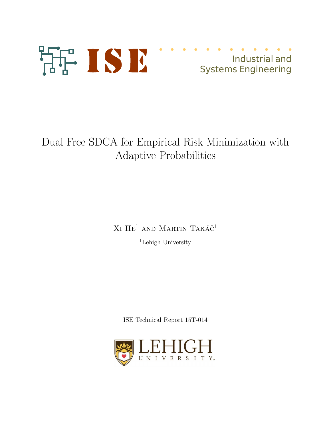

# Industrial and **Systems Engineering**

Dual Free SDCA for Empirical Risk Minimization with Adaptive Probabilities

> $XI HE<sup>1</sup>$  AND MARTIN TAKÁ $\check{C}^1$ <sup>1</sup>Lehigh University

ISE Technical Report 15T-014

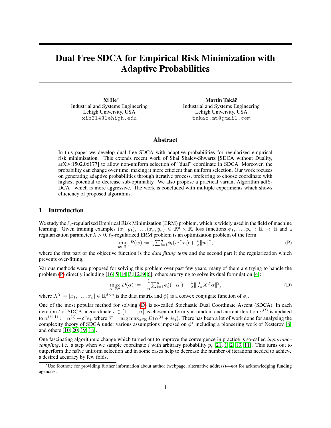# Dual Free SDCA for Empirical Risk Minimization with Adaptive Probabilities

Xi He<sup>∗</sup> Industrial and Systems Engineering Lehigh University, USA xih314@lehigh.edu

Martin Takáč Industrial and Systems Engineering Lehigh University, USA takac.mt@gmail.com

# Abstract

In this paper we develop dual free SDCA with adaptive probabilities for regularized empirical risk minimization. This extends recent work of Shai Shalev-Shwartz [SDCA without Duality, arXiv:1502.06177] to allow non-uniform selection of "dual" coordinate in SDCA. Moreover, the probability can change over time, making it more efficient than uniform selection. Our work focuses on generating adaptive probabilities through iterative process, preferring to choose coordinate with highest potential to decrease sub-optimality. We also propose a practical variant Algorithm adfS-DCA+ which is more aggressive. The work is concluded with multiple experiments which shows efficiency of proposed algorithms.

## 1 Introduction

We study the  $\ell_2$ -regularized Empirical Risk Minimization (ERM) problem, which is widely used in the field of machine learning. Given training examples  $(x_1, y_1), \ldots, (x_n, y_n) \in \mathbb{R}^d \times \mathbb{R}$ , loss functions  $\phi_1, \ldots, \phi_n : \mathbb{R} \to \mathbb{R}$  and a regularization parameter  $\lambda > 0$ ,  $\ell_2$ -regularized ERM problem is an optimization problem of the form

$$
\min_{w \in \mathbb{R}^d} P(w) := \frac{1}{n} \sum_{i=1}^n \phi_i(w^T x_i) + \frac{\lambda}{2} ||w||^2,
$$
 (P)

where the first part of the objective function is the *data fitting term* and the second part it the regularization which prevents over-fitting.

Various methods were proposed for solving this problem over past few years, many of them are trying to handle the problem (P) directly including [16, 5, 14, 3, 12, 9, 6], others are trying to solve its dual formulation [4]:

$$
\max_{\alpha \in \mathbb{R}^n} D(\alpha) := -\frac{1}{n} \sum_{i=1}^n \phi_i^*(-\alpha_i) - \frac{\lambda}{2} ||\frac{1}{\lambda n} X^T \alpha||^2,
$$
\n(D)

where  $X^T = [x_1, \dots, x_n] \in \mathbb{R}^{d \times n}$  is the data matrix and  $\phi_i^*$  is a convex conjugate function of  $\phi_i$ .

One of the most popular method for solving (D) is so-called Stochastic Dual Coordinate Ascent (SDCA). In each iteration t of SDCA, a coordinate  $i \in \{1, ..., n\}$  is chosen uniformly at random and current iteration  $\alpha^{(t)}$  is updated to  $\alpha^{(t+1)} := \alpha^{(t)} + \delta^* e_i$ , where  $\delta^* = \arg \max_{\delta \in \mathbb{R}} D(\alpha^{(t)} + \delta e_i)$ . There has been a lot of work done for analysing the complexity theory of SDCA under various assumptions imposed on  $\phi_i^*$  including a pioneering work of Nesterov [8] and others [10, 20, 19, 18].

One fascinating algorithmic change which turned out to improve the convergence in practice is so-called *importance sampling*, i.e. a step when we sample coordinate i with arbitrary probability  $p_i$  [21, 1, 2, 13, 11]. This turns out to outperform the naïve uniform selection and in some cases help to decrease the number of iterations needed to achieve a desired accuracy by few folds.

<sup>∗</sup>Use footnote for providing further information about author (webpage, alternative address)—*not* for acknowledging funding agencies.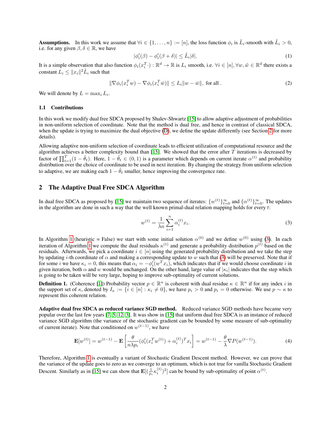**Assumptions.** In this work we assume that  $\forall i \in \{1, ..., n\} := [n]$ , the loss function  $\phi_i$  is  $\tilde{L}_i$ -smooth with  $\tilde{L}_i > 0$ , i.e. for any given  $\beta, \delta \in \mathbb{R}$ , we have

$$
|\phi_i'(\beta) - \phi_i'(\beta + \delta)| \le \tilde{L}_i|\delta|. \tag{1}
$$

It is a simple observation that also function  $\phi_i(x_i^T) : \mathbb{R}^d \to \mathbb{R}$  is  $L_i$  smooth, i.e.  $\forall i \in [n], \forall w, \tilde{w} \in \mathbb{R}^d$  there exists a constant  $L_i \leq \|x_i\|^2 \tilde{L}_i$  such that

$$
\|\nabla \phi_i(x_i^T w) - \nabla \phi_i(x_i^T \bar{w})\| \le L_i \|w - \bar{w}\|, \text{ for all }.
$$
 (2)

We will denote by  $L = \max_i L_i$ .

#### 1.1 Contributions

In this work we modify dual free SDCA proposed by Shalev-Shwartz [15] to allow adaptive adjustment of probabilities in non-uniform selection of coordinate. Note that the method is dual free, and hence in contrast of classical SDCA, when the update is trying to maximize the dual objective (D), we define the update differently (see Section 2 for more details).

Allowing adaptive non-uniform selection of coordinate leads to efficient utilization of computational resource and the algorithm achieves a better complexity bound than [15]. We showed that the error after  $\hat{T}$  iterations is decreased by factor of  $\prod_{t=1}^{T} (1 - \tilde{\theta}_t)$ . Here,  $1 - \tilde{\theta}_t \in (0, 1)$  is a parameter which depends on current iterate  $\alpha^{(t)}$  and probability distribution over the choice of coordinate to be used in next iteration. By changing the strategy from uniform selection to adaptive, we are making each  $1 - \theta_t$  smaller, hence improving the convergence rate.

# 2 The Adaptive Dual Free SDCA Algorithm

In dual free SDCA as proposed by [15] we maintain two sequence of iterates:  $\{w^{(t)}\}_{t=0}^{\infty}$  and  $\{\alpha^{(t)}\}_{t=0}^{\infty}$ . The updates in the algorithm are done in such a way that the well known primal-dual relation mapping holds for every t:

$$
w^{(t)} = \frac{1}{\lambda n} \sum_{i=1}^{n} \alpha_i^{(t)} x_i.
$$
 (3)

In Algorithm 1 (heuristic = False) we start with some initial solution  $\alpha^{(0)}$  and we define  $w^{(0)}$  using (3). In each iteration of Algorithm 1 we compute the dual residuals  $\kappa^{(t)}$  and generate a probability distribution  $p^{(t)}$  based on the residuals. Afterwards, we pick a coordinate  $i \in [n]$  using the generated probability distribution and we take the step by updating i-th coordinate of  $\alpha$  and making a corresponding update to w such that (3) will be preserved. Note that if for some *i* we have  $\kappa_i = 0$ , this means that  $\alpha_i = -\phi_i'(w^T x_i)$ , which indicates that if we would choose coordinate *i* in given iteration, both  $\alpha$  and  $w$  would be unchanged. On the other hand, large value of  $|\kappa_i|$  indicates that the step which is going to be taken will be very large, hoping to improve sub-optimality of current solutions.

**Definition 1.** (Coherence [1]) Probability vector  $p \in \mathbb{R}^n$  is coherent with dual residue  $\kappa \in \mathbb{R}^n$  if for any index i in the support set of  $\kappa$ , denoted by  $I_{\kappa} := \{i \in [n] : \kappa_i \neq 0\}$ , we have  $p_i > 0$  and  $p_i = 0$  otherwise. We use  $p \sim \kappa$  to represent this coherent relation.

Adaptive dual free SDCA as reduced variance SGD method. Reduced variance SGD methods have became very popular over the last few years [7, 5, 12, 3]. It was show in [15] that uniform dual free SDCA is an instance of reduced variance SGD algorithm (the variance of the stochastic gradient can be bounded by some measure of sub-optimality of current iterate). Note that conditioned on  $w^{(t-1)}$ , we have

$$
\mathbf{E}[w^{(t)}] = w^{(t-1)} - \mathbf{E}\left[\frac{\theta}{n\lambda p_i}(\phi_i'(x_i^T w^{(t)}) + \alpha_i^{(t)})^T x_i\right] = w^{(t-1)} - \frac{\theta}{\lambda} \nabla P(w^{(t-1)}).
$$
\n(4)

Therefore, Algorithm 1 is eventually a variant of Stochastic Gradient Descent method. However, we can prove that the variance of the update goes to zero as we converge to an optimum, which is not true for vanilla Stochastic Gradient Descent. Similarly as in [15] we can show that  $\mathbf{E}[(\frac{1}{p_i} \kappa_i^{(t)})^2]$  can be bound by sub-optimality of point  $\alpha^{(t)}$ .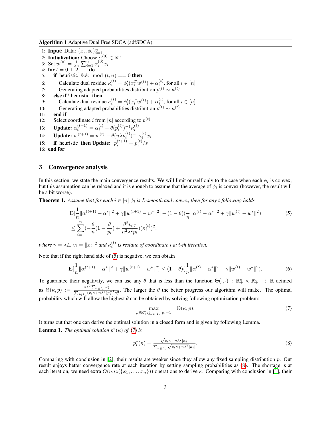Algorithm 1 Adaptive Dual Free SDCA (adfSDCA)

1: **Input:** Data:  $\{x_i, \phi_i\}_{i=1}^n$ 1. **Input.** Data. { $x_i$ ,  $\varphi_i$   $i_{i=1}$ <br>2: **Initialization:** Choose  $\alpha_i^{(0)} \in \mathbb{R}^n$ 3: Set  $w^{(0)} = \frac{1}{\lambda n} \sum_{i=1}^{n} \alpha_i^{(0)} x_i$ 4: for  $t = 0, 1, 2, ...$  do 5: if heuristic && mod  $(t, n) == 0$  then 6: Calculate dual residue  $\kappa_i^{(t)} = \phi_i'(x_i^T w^{(t)}) + \alpha_i^{(t)}$ , for all  $i \in [n]$ 7: Generating adapted probabilities distribution  $p^{(t)} \sim \kappa^{(t)}$ 8: else if ! heuristic then 9: Calculate dual residue  $\kappa_i^{(t)} = \phi_i'(x_i^T w^{(t)}) + \alpha_i^{(t)}$ , for all  $i \in [n]$ 10: Generating adapted probabilities distribution  $p^{(t)} \sim \kappa^{(t)}$ 11: end if 12: Select coordinate *i* from [*n*] according to  $p^{(t)}$ 13: **Update:**  $\alpha_i^{(t+1)} = \alpha_i^{(t)} - \theta(p_i^{(t)})^{-1} \kappa_i^{(t)}$ 14: **Update:**  $w^{(t+1)} = w^{(t)} - \theta(n\lambda p_i^{(t)})^{-1} \kappa_i^{(t)} x_i$ 15: if heuristic then Update:  $p_i^{(t+1)} = p_i^{(t)}/s$ 16: end for

# 3 Convergence analysis

In this section, we state the main convergence results. We will limit ourself only to the case when each  $\phi_i$  is convex, but this assumption can be relaxed and it is enough to assume that the average of  $\phi_i$  is convex (however, the result will be a bit worse).

**Theorem 1.** Assume that for each  $i \in [n]$   $\phi_i$  is L-smooth and convex, then for any t following holds

$$
\mathbf{E}[\frac{1}{n}||\alpha^{(t+1)} - \alpha^*||^2 + \gamma ||w^{(t+1)} - w^*||^2] - (1 - \theta)(\frac{1}{n}||\alpha^{(t)} - \alpha^*||^2 + \gamma ||w^{(t)} - w^*||^2)
$$
\n
$$
\leq \sum_{i=1}^n \left(-\frac{\theta}{n}(1 - \frac{\theta}{p_i}) + \frac{\theta^2 v_i \gamma}{n^2 \lambda^2 p_i}\right)(\kappa_i^{(t)})^2,
$$
\n(5)

where  $\gamma = \lambda L$ ,  $v_i = ||x_i||^2$  and  $\kappa_i^{(t)}$  is residue of coordinate *i* at *t*-th iteration.

Note that if the right hand side of (5) is negative, we can obtain

$$
\mathbf{E}[\frac{1}{n}||\alpha^{(t+1)} - \alpha^*||^2 + \gamma ||w^{(t+1)} - w^*||^2] \le (1 - \theta)(\frac{1}{n}||\alpha^{(t)} - \alpha^*||^2 + \gamma ||w^{(t)} - w^*||^2). \tag{6}
$$

To guarantee their negativity, we can use any  $\theta$  that is less than the function  $\Theta(\cdot,\cdot) : \mathbb{R}^n_+ \times \mathbb{R}^n_+ \to \mathbb{R}$  defined as  $\Theta(\kappa, p) := \frac{n\lambda^2 \sum_{i \in I_{\kappa}} \kappa_i^2}{\sum_{i \in I_{\kappa}} (v_i \gamma + n\lambda^2) p_i^{-1} \kappa_i^2}$ . The larger the  $\theta$  the better progress our algorithm will make. The optimal probability which will allow the highest  $\theta$  can be obtained by solving following optimization problem:

$$
\max_{p \in \mathbb{R}_+^n : \sum_{i \in I_K} p_i = 1} \Theta(\kappa, p). \tag{7}
$$

It turns out that one can derive the optimal solution in a closed form and is given by following Lemma. **Lemma 1.** *The optimal solution*  $p^*(\kappa)$  *of* (7) *is* 

$$
p_i^*(\kappa) = \frac{\sqrt{v_i \gamma + n\lambda^2} |\kappa_i|}{\sum_{i \in I_{\kappa}} \sqrt{v_i \gamma + n\lambda^2} |\kappa_i|}.
$$
\n(8)

Comparing with conclusion in [2], their results are weaker since they allow any fixed sampling distribution  $p$ . Out result enjoys better convergence rate at each iteration by setting sampling probabilities as (8). The shortage is at each iteration, we need extra  $O(nnz({x_1, \ldots, x_n}))$  operations to derive κ. Comparing with conclusion in [1], their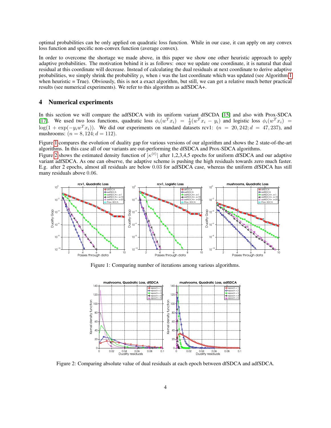optimal probabilities can be only applied on quadratic loss function. While in our case, it can apply on any convex loss function and specific non-convex function (average convex).

In order to overcome the shortage we made above, in this paper we show one other heuristic approach to apply adaptive probabilities. The motivation behind it is as follows: once we update one coordinate, it is natural that dual residual at this coordinate will decrease. Instead of calculating the dual residuals at next coordinate to derive adaptive probabilities, we simply shrink the probability  $p_i$  when i was the last coordinate which was updated (see Algorithm 1) when heuristic  $=$  True). Obviously, this is not a exact algorithm, but still, we can get a relative much better practical results (see numerical experiments). We refer to this algorithm as adfSDCA+.

# 4 Numerical experiments

In this section we will compare the adfSDCA with its uniform variant dfSCDA [15] and also with Prox-SDCA [17]. We used two loss functions, quadratic loss  $\phi_i(w^T x_i) = \frac{1}{2}(w^T x_i - y_i)$  and logistic loss  $\phi_i(w^T x_i)$  $\log(1 + \exp(-y_i w^T x_i))$ . We did our experiments on standard datasets rcv1:  $(n = 20, 242; d = 47, 237)$ , and mushrooms:  $(n = 8, 124; d = 112)$ .

Figure 1 compares the evolution of duality gap for various versions of our algorithm and shows the 2 state-of-the-art algorithms. In this case all of our variants are out-performing the dfSDCA and Prox-SDCA algorithms.

Figure 2 shows the estimated density function of  $|\kappa^{(t)}|$  after 1,2,3,4,5 epochs for uniform dfSDCA and our adaptive variant adfSDCA. As one can observe, the adaptive scheme is pushing the high residuals towards zero much faster. E.g. after 2 epochs, almost all residuals are below 0.03 for adfSDCA case, whereas the uniform dfSDCA has still many residuals above 0.06.



Figure 1: Comparing number of iterations among various algorithms.



Figure 2: Comparing absolute value of dual residuals at each epoch between dfSDCA and adfSDCA.